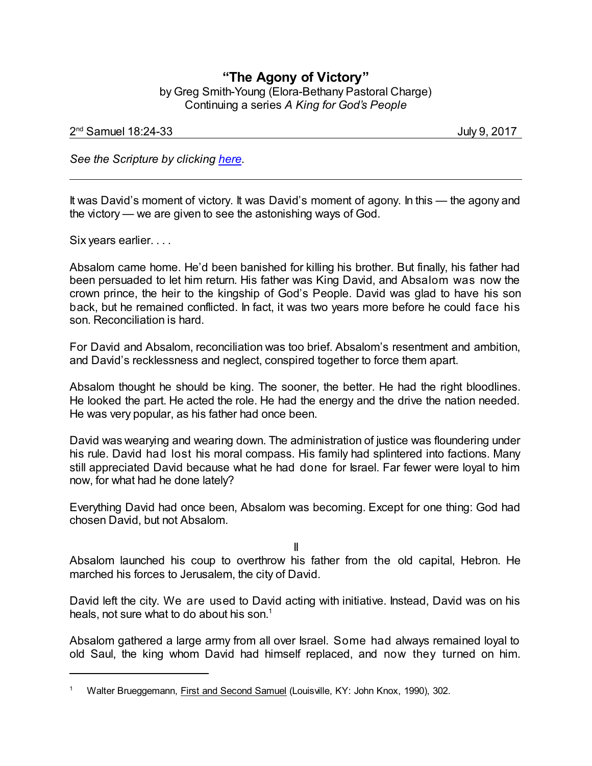## **"The Agony of Victory"** by Greg Smith-Young (Elora-Bethany Pastoral Charge) Continuing a series *A King for God's People*

## 2 nd Samuel 18:24-33 July 9, 2017

*See the Scripture by clicking [here](https://www.biblegateway.com/passage/?search=2+Samuel+18%3A24-33&version=CEB).*

It was David's moment of victory. It was David's moment of agony. In this — the agony and the victory — we are given to see the astonishing ways of God.

Six years earlier. . . .

Absalom came home. He'd been banished for killing his brother. But finally, his father had been persuaded to let him return. His father was King David, and Absalom was now the crown prince, the heir to the kingship of God's People. David was glad to have his son back, but he remained conflicted. In fact, it was two years more before he could face his son. Reconciliation is hard.

For David and Absalom, reconciliation was too brief. Absalom's resentment and ambition, and David's recklessness and neglect, conspired together to force them apart.

Absalom thought he should be king. The sooner, the better. He had the right bloodlines. He looked the part. He acted the role. He had the energy and the drive the nation needed. He was very popular, as his father had once been.

David was wearying and wearing down. The administration of justice was floundering under his rule. David had lost his moral compass. His family had splintered into factions. Many still appreciated David because what he had done for Israel. Far fewer were loyal to him now, for what had he done lately?

Everything David had once been, Absalom was becoming. Except for one thing: God had chosen David, but not Absalom.

II

Absalom launched his coup to overthrow his father from the old capital, Hebron. He marched his forces to Jerusalem, the city of David.

David left the city. We are used to David acting with initiative. Instead, David was on his heals, not sure what to do about his son. 1

Absalom gathered a large army from all over Israel. Some had always remained loyal to old Saul, the king whom David had himself replaced, and now they turned on him.

Walter Brueggemann, First and Second Samuel (Louisville, KY: John Knox, 1990), 302.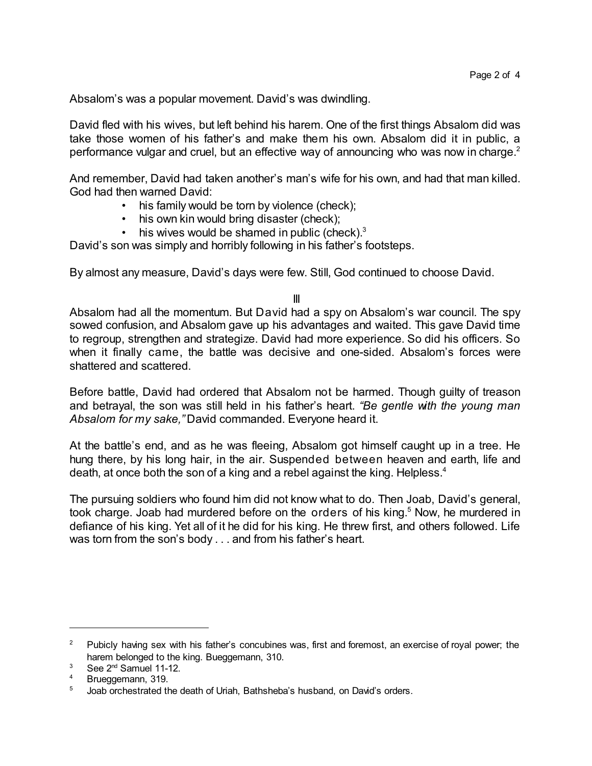Absalom's was a popular movement. David's was dwindling.

David fled with his wives, but left behind his harem. One of the first things Absalom did was take those women of his father's and make them his own. Absalom did it in public, a performance vulgar and cruel, but an effective way of announcing who was now in charge.<sup>2</sup>

And remember, David had taken another's man's wife for his own, and had that man killed. God had then warned David:

- his family would be torn by violence (check);
- his own kin would bring disaster (check);
- his wives would be shamed in public (check). $3$

David's son was simply and horribly following in his father's footsteps.

By almost any measure, David's days were few. Still, God continued to choose David.

## III

Absalom had all the momentum. But David had a spy on Absalom's war council. The spy sowed confusion, and Absalom gave up his advantages and waited. This gave David time to regroup, strengthen and strategize. David had more experience. So did his officers. So when it finally came, the battle was decisive and one-sided. Absalom's forces were shattered and scattered.

Before battle, David had ordered that Absalom not be harmed. Though guilty of treason and betrayal, the son was still held in his father's heart. *"Be gentle with the young man Absalom for my sake,"* David commanded. Everyone heard it.

At the battle's end, and as he was fleeing, Absalom got himself caught up in a tree. He hung there, by his long hair, in the air. Suspended between heaven and earth, life and death, at once both the son of a king and a rebel against the king. Helpless.<sup>4</sup>

The pursuing soldiers who found him did not know what to do. Then Joab, David's general, took charge. Joab had murdered before on the orders of his king.<sup>5</sup> Now, he murdered in defiance of his king. Yet all of it he did for his king. He threw first, and others followed. Life was torn from the son's body . . . and from his father's heart.

<sup>&</sup>lt;sup>2</sup> Pubicly having sex with his father's concubines was, first and foremost, an exercise of royal power; the harem belonged to the king. Bueggemann, 310.

 $3$  See 2<sup>nd</sup> Samuel 11-12.

Brueggemann, 319.

<sup>&</sup>lt;sup>5</sup> Joab orchestrated the death of Uriah, Bathsheba's husband, on David's orders.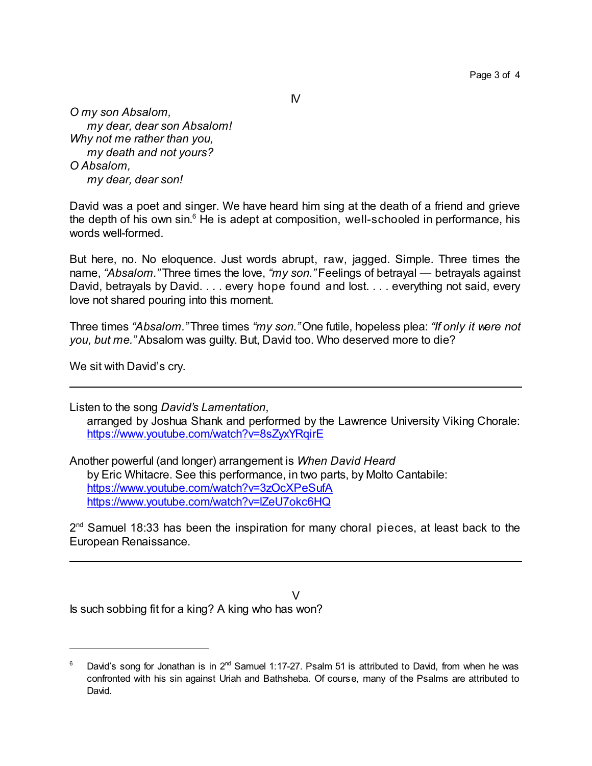$\mathsf{N}$ 

*O my son Absalom, my dear, dear son Absalom! Why not me rather than you, my death and not yours? O Absalom, my dear, dear son!*

David was a poet and singer. We have heard him sing at the death of a friend and grieve the depth of his own sin.<sup>6</sup> He is adept at composition, well-schooled in performance, his words well-formed.

But here, no. No eloquence. Just words abrupt, raw, jagged. Simple. Three times the name, *"Absalom."* Three times the love, *"my son."* Feelings of betrayal — betrayals against David, betrayals by David. . . . every hope found and lost. . . . everything not said, every love not shared pouring into this moment.

Three times *"Absalom."* Three times *"my son."* One futile, hopeless plea: *"If only it were not you, but me."* Absalom was guilty. But, David too. Who deserved more to die?

We sit with David's cry.

Listen to the song *David's Lamentation*, arranged by Joshua Shank and performed by the Lawrence University Viking Chorale: <https://www.youtube.com/watch?v=8sZyxYRqirE>

Another powerful (and longer) arrangement is *When David Heard* by Eric Whitacre. See this performance, in two parts, by Molto Cantabile: <https://www.youtube.com/watch?v=3zOcXPeSufA> <https://www.youtube.com/watch?v=lZeU7okc6HQ>

2<sup>nd</sup> Samuel 18:33 has been the inspiration for many choral pieces, at least back to the European Renaissance.

 $\vee$ Is such sobbing fit for a king? A king who has won?

 $^6$  David's song for Jonathan is in 2<sup>nd</sup> Samuel 1:17-27. Psalm 51 is attributed to David, from when he was confronted with his sin against Uriah and Bathsheba. Of course, many of the Psalms are attributed to David.